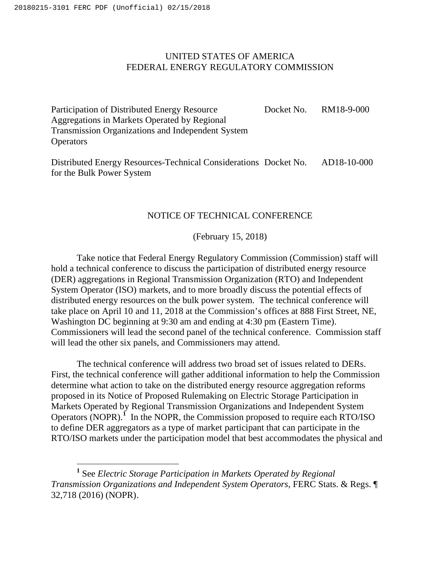$\overline{a}$ 

## UNITED STATES OF AMERICA FEDERAL ENERGY REGULATORY COMMISSION

Participation of Distributed Energy Resource Aggregations in Markets Operated by Regional Transmission Organizations and Independent System **Operators** Docket No. RM18-9-000

Distributed Energy Resources-Technical Considerations Docket No. AD18-10-000 for the Bulk Power System

## NOTICE OF TECHNICAL CONFERENCE

(February 15, 2018)

Take notice that Federal Energy Regulatory Commission (Commission) staff will hold a technical conference to discuss the participation of distributed energy resource (DER) aggregations in Regional Transmission Organization (RTO) and Independent System Operator (ISO) markets, and to more broadly discuss the potential effects of distributed energy resources on the bulk power system. The technical conference will take place on April 10 and 11, 2018 at the Commission's offices at 888 First Street, NE, Washington DC beginning at 9:30 am and ending at 4:30 pm (Eastern Time). Commissioners will lead the second panel of the technical conference. Commission staff will lead the other six panels, and Commissioners may attend.

The technical conference will address two broad set of issues related to DERs. First, the technical conference will gather additional information to help the Commission determine what action to take on the distributed energy resource aggregation reforms proposed in its Notice of Proposed Rulemaking on Electric Storage Participation in Markets Operated by Regional Transmission Organizations and Independent System Operators (NOPR).<sup>1</sup> In the NOPR, the Commission proposed to require each RTO/ISO to define DER aggregators as a type of market participant that can participate in the RTO/ISO markets under the participation model that best accommodates the physical and

**<sup>1</sup>** See *Electric Storage Participation in Markets Operated by Regional Transmission Organizations and Independent System Operators*, FERC Stats. & Regs. ¶ 32,718 (2016) (NOPR).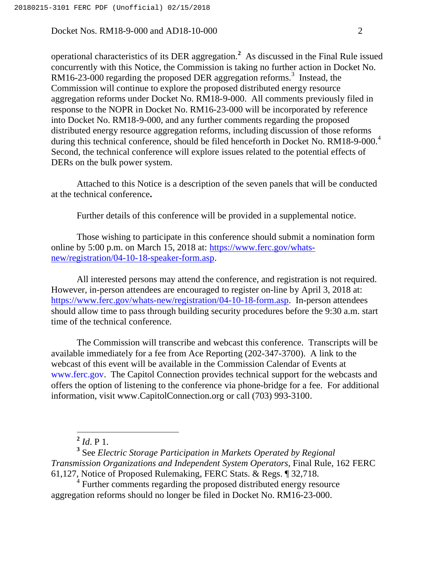operational characteristics of its DER aggregation.**<sup>2</sup>** As discussed in the Final Rule issued concurrently with this Notice, the Commission is taking no further action in Docket No. RM16-23-000 regarding the proposed DER aggregation reforms.<sup>3</sup> Instead, the Commission will continue to explore the proposed distributed energy resource aggregation reforms under Docket No. RM18-9-000. All comments previously filed in response to the NOPR in Docket No. RM16-23-000 will be incorporated by reference into Docket No. RM18-9-000, and any further comments regarding the proposed distributed energy resource aggregation reforms, including discussion of those reforms during this technical conference, should be filed henceforth in Docket No. RM18-9-000.<sup>4</sup> Second, the technical conference will explore issues related to the potential effects of DERs on the bulk power system.

Attached to this Notice is a description of the seven panels that will be conducted at the technical conference**.** 

Further details of this conference will be provided in a supplemental notice.

Those wishing to participate in this conference should submit a nomination form online by 5:00 p.m. on March 15, 2018 at: https://www.ferc.gov/whatsnew/registration/04-10-18-speaker-form.asp.

All interested persons may attend the conference, and registration is not required. However, in-person attendees are encouraged to register on-line by April 3, 2018 at: https://www.ferc.gov/whats-new/registration/04-10-18-form.asp. In-person attendees should allow time to pass through building security procedures before the 9:30 a.m. start time of the technical conference.

The Commission will transcribe and webcast this conference. Transcripts will be available immediately for a fee from Ace Reporting (202-347-3700). A link to the webcast of this event will be available in the Commission Calendar of Events at www.ferc.gov. The Capitol Connection provides technical support for the webcasts and offers the option of listening to the conference via phone-bridge for a fee. For additional information, visit www.CapitolConnection.org or call (703) 993-3100.

**<sup>2</sup>** *Id*. P 1.

**<sup>3</sup>** See *Electric Storage Participation in Markets Operated by Regional Transmission Organizations and Independent System Operators*, Final Rule, 162 FERC 61,127, Notice of Proposed Rulemaking, FERC Stats. & Regs. ¶ 32,718.

<sup>4</sup> Further comments regarding the proposed distributed energy resource aggregation reforms should no longer be filed in Docket No. RM16-23-000.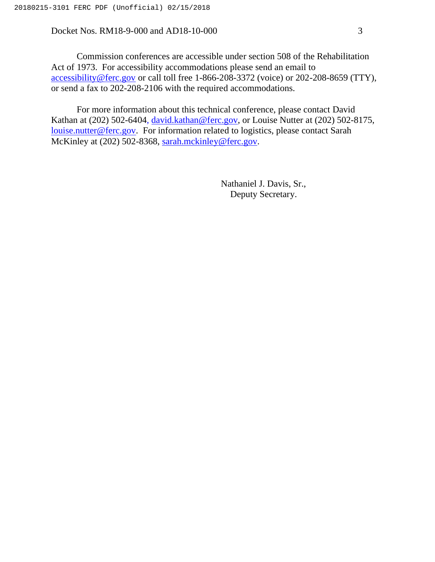Commission conferences are accessible under section 508 of the Rehabilitation Act of 1973. For accessibility accommodations please send an email to accessibility@ferc.gov or call toll free 1-866-208-3372 (voice) or 202-208-8659 (TTY), or send a fax to 202-208-2106 with the required accommodations.

For more information about this technical conference, please contact David Kathan at (202) 502-6404, david.kathan@ferc.gov, or Louise Nutter at (202) 502-8175, louise.nutter@ferc.gov. For information related to logistics, please contact Sarah McKinley at (202) 502-8368, sarah.mckinley@ferc.gov.

> Nathaniel J. Davis, Sr., Deputy Secretary.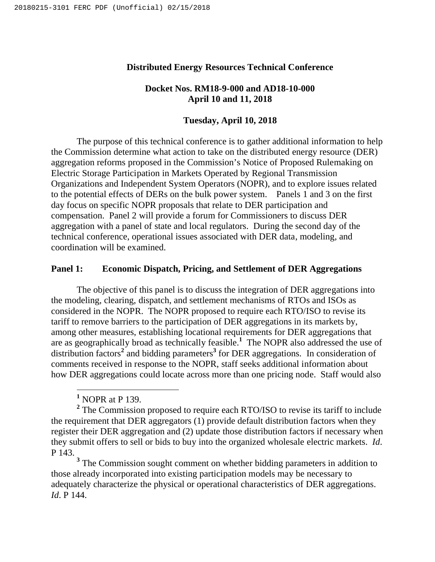### **Distributed Energy Resources Technical Conference**

## **Docket Nos. RM18-9-000 and AD18-10-000 April 10 and 11, 2018**

## **Tuesday, April 10, 2018**

The purpose of this technical conference is to gather additional information to help the Commission determine what action to take on the distributed energy resource (DER) aggregation reforms proposed in the Commission's Notice of Proposed Rulemaking on Electric Storage Participation in Markets Operated by Regional Transmission Organizations and Independent System Operators (NOPR), and to explore issues related to the potential effects of DERs on the bulk power system. Panels 1 and 3 on the first day focus on specific NOPR proposals that relate to DER participation and compensation. Panel 2 will provide a forum for Commissioners to discuss DER aggregation with a panel of state and local regulators. During the second day of the technical conference, operational issues associated with DER data, modeling, and coordination will be examined.

#### **Panel 1: Economic Dispatch, Pricing, and Settlement of DER Aggregations**

The objective of this panel is to discuss the integration of DER aggregations into the modeling, clearing, dispatch, and settlement mechanisms of RTOs and ISOs as considered in the NOPR. The NOPR proposed to require each RTO/ISO to revise its tariff to remove barriers to the participation of DER aggregations in its markets by, among other measures, establishing locational requirements for DER aggregations that are as geographically broad as technically feasible.**<sup>1</sup>** The NOPR also addressed the use of distribution factors**<sup>2</sup>** and bidding parameters**<sup>3</sup>** for DER aggregations. In consideration of comments received in response to the NOPR, staff seeks additional information about how DER aggregations could locate across more than one pricing node. Staff would also

 $\overline{a}$ 

**<sup>3</sup>** The Commission sought comment on whether bidding parameters in addition to those already incorporated into existing participation models may be necessary to adequately characterize the physical or operational characteristics of DER aggregations. *Id*. P 144.

**<sup>1</sup>** NOPR at P 139.

**<sup>2</sup>** The Commission proposed to require each RTO/ISO to revise its tariff to include the requirement that DER aggregators  $(1)$  provide default distribution factors when they register their DER aggregation and (2) update those distribution factors if necessary when they submit offers to sell or bids to buy into the organized wholesale electric markets. *Id*. P 143.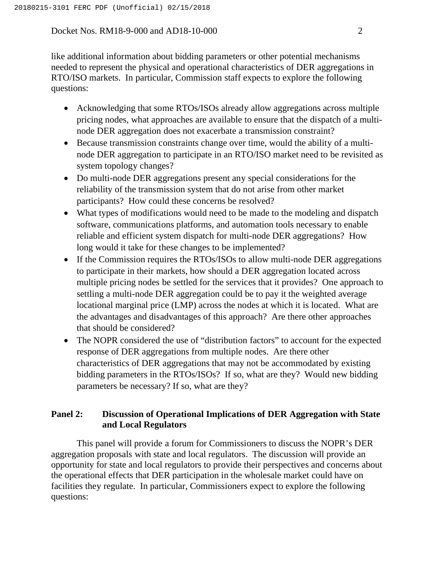like additional information about bidding parameters or other potential mechanisms needed to represent the physical and operational characteristics of DER aggregations in RTO/ISO markets. In particular, Commission staff expects to explore the following questions:

- Acknowledging that some RTOs/ISOs already allow aggregations across multiple pricing nodes, what approaches are available to ensure that the dispatch of a multinode DER aggregation does not exacerbate a transmission constraint?
- Because transmission constraints change over time, would the ability of a multinode DER aggregation to participate in an RTO/ISO market need to be revisited as system topology changes?
- Do multi-node DER aggregations present any special considerations for the reliability of the transmission system that do not arise from other market participants? How could these concerns be resolved?
- What types of modifications would need to be made to the modeling and dispatch software, communications platforms, and automation tools necessary to enable reliable and efficient system dispatch for multi-node DER aggregations? How long would it take for these changes to be implemented?
- If the Commission requires the RTOs/ISOs to allow multi-node DER aggregations to participate in their markets, how should a DER aggregation located across multiple pricing nodes be settled for the services that it provides? One approach to settling a multi-node DER aggregation could be to pay it the weighted average locational marginal price (LMP) across the nodes at which it is located. What are the advantages and disadvantages of this approach? Are there other approaches that should be considered?
- The NOPR considered the use of "distribution factors" to account for the expected response of DER aggregations from multiple nodes. Are there other characteristics of DER aggregations that may not be accommodated by existing bidding parameters in the RTOs/ISOs? If so, what are they? Would new bidding parameters be necessary? If so, what are they?

# **Panel 2: Discussion of Operational Implications of DER Aggregation with State and Local Regulators**

This panel will provide a forum for Commissioners to discuss the NOPR's DER aggregation proposals with state and local regulators. The discussion will provide an opportunity for state and local regulators to provide their perspectives and concerns about the operational effects that DER participation in the wholesale market could have on facilities they regulate. In particular, Commissioners expect to explore the following questions: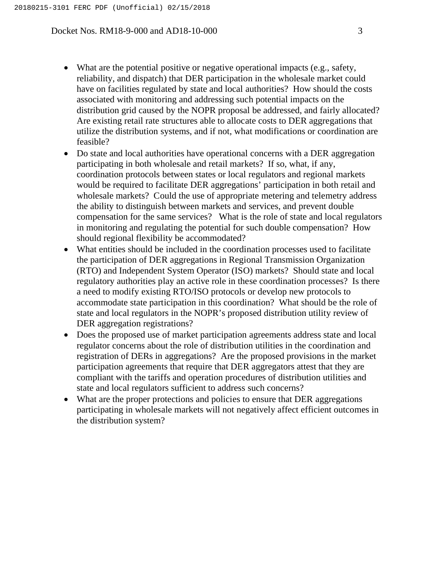- What are the potential positive or negative operational impacts (e.g., safety, reliability, and dispatch) that DER participation in the wholesale market could have on facilities regulated by state and local authorities? How should the costs associated with monitoring and addressing such potential impacts on the distribution grid caused by the NOPR proposal be addressed, and fairly allocated? Are existing retail rate structures able to allocate costs to DER aggregations that utilize the distribution systems, and if not, what modifications or coordination are feasible?
- Do state and local authorities have operational concerns with a DER aggregation participating in both wholesale and retail markets? If so, what, if any, coordination protocols between states or local regulators and regional markets would be required to facilitate DER aggregations' participation in both retail and wholesale markets? Could the use of appropriate metering and telemetry address the ability to distinguish between markets and services, and prevent double compensation for the same services? What is the role of state and local regulators in monitoring and regulating the potential for such double compensation? How should regional flexibility be accommodated?
- What entities should be included in the coordination processes used to facilitate the participation of DER aggregations in Regional Transmission Organization (RTO) and Independent System Operator (ISO) markets? Should state and local regulatory authorities play an active role in these coordination processes? Is there a need to modify existing RTO/ISO protocols or develop new protocols to accommodate state participation in this coordination? What should be the role of state and local regulators in the NOPR's proposed distribution utility review of DER aggregation registrations?
- Does the proposed use of market participation agreements address state and local regulator concerns about the role of distribution utilities in the coordination and registration of DERs in aggregations? Are the proposed provisions in the market participation agreements that require that DER aggregators attest that they are compliant with the tariffs and operation procedures of distribution utilities and state and local regulators sufficient to address such concerns?
- What are the proper protections and policies to ensure that DER aggregations participating in wholesale markets will not negatively affect efficient outcomes in the distribution system?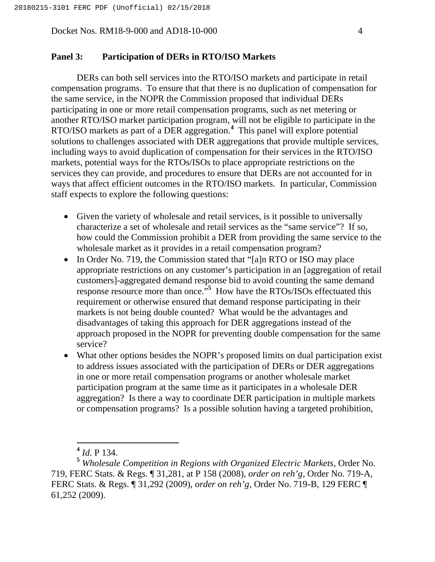## **Panel 3: Participation of DERs in RTO/ISO Markets**

DERs can both sell services into the RTO/ISO markets and participate in retail compensation programs. To ensure that that there is no duplication of compensation for the same service, in the NOPR the Commission proposed that individual DERs participating in one or more retail compensation programs, such as net metering or another RTO/ISO market participation program, will not be eligible to participate in the RTO/ISO markets as part of a DER aggregation.<sup>4</sup> This panel will explore potential solutions to challenges associated with DER aggregations that provide multiple services, including ways to avoid duplication of compensation for their services in the RTO/ISO markets, potential ways for the RTOs/ISOs to place appropriate restrictions on the services they can provide, and procedures to ensure that DERs are not accounted for in ways that affect efficient outcomes in the RTO/ISO markets. In particular, Commission staff expects to explore the following questions:

- Given the variety of wholesale and retail services, is it possible to universally characterize a set of wholesale and retail services as the "same service"? If so, how could the Commission prohibit a DER from providing the same service to the wholesale market as it provides in a retail compensation program?
- In Order No. 719, the Commission stated that "[a]n RTO or ISO may place appropriate restrictions on any customer's participation in an [aggregation of retail customers]-aggregated demand response bid to avoid counting the same demand response resource more than once.<sup>55</sup> How have the RTOs/ISOs effectuated this requirement or otherwise ensured that demand response participating in their markets is not being double counted? What would be the advantages and disadvantages of taking this approach for DER aggregations instead of the approach proposed in the NOPR for preventing double compensation for the same service?
- What other options besides the NOPR's proposed limits on dual participation exist to address issues associated with the participation of DERs or DER aggregations in one or more retail compensation programs or another wholesale market participation program at the same time as it participates in a wholesale DER aggregation? Is there a way to coordinate DER participation in multiple markets or compensation programs? Is a possible solution having a targeted prohibition,

**<sup>4</sup>** *Id*. P 134.

**<sup>5</sup>** *Wholesale Competition in Regions with Organized Electric Markets*, Order No. 719, FERC Stats. & Regs. ¶ 31,281, at P 158 (2008), *order on reh'g*, Order No. 719-A, FERC Stats. & Regs. ¶ 31,292 (2009), *order on reh'g*, Order No. 719-B, 129 FERC ¶ 61,252 (2009).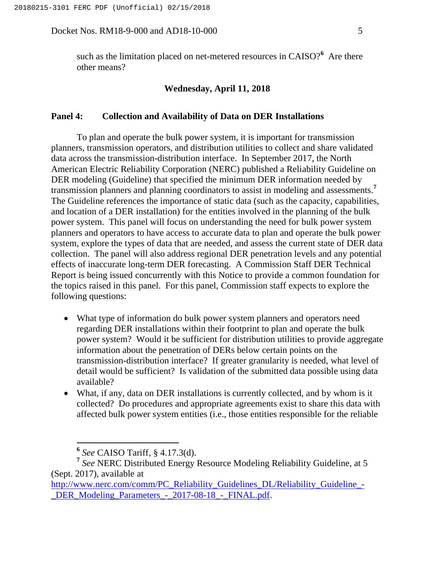such as the limitation placed on net-metered resources in CAISO?**<sup>6</sup>** Are there other means?

#### **Wednesday, April 11, 2018**

#### **Panel 4: Collection and Availability of Data on DER Installations**

To plan and operate the bulk power system, it is important for transmission planners, transmission operators, and distribution utilities to collect and share validated data across the transmission-distribution interface. In September 2017, the North American Electric Reliability Corporation (NERC) published a Reliability Guideline on DER modeling (Guideline) that specified the minimum DER information needed by transmission planners and planning coordinators to assist in modeling and assessments.**<sup>7</sup>** The Guideline references the importance of static data (such as the capacity, capabilities, and location of a DER installation) for the entities involved in the planning of the bulk power system. This panel will focus on understanding the need for bulk power system planners and operators to have access to accurate data to plan and operate the bulk power system, explore the types of data that are needed, and assess the current state of DER data collection. The panel will also address regional DER penetration levels and any potential effects of inaccurate long-term DER forecasting. A Commission Staff DER Technical Report is being issued concurrently with this Notice to provide a common foundation for the topics raised in this panel. For this panel, Commission staff expects to explore the following questions:

- What type of information do bulk power system planners and operators need regarding DER installations within their footprint to plan and operate the bulk power system? Would it be sufficient for distribution utilities to provide aggregate information about the penetration of DERs below certain points on the transmission-distribution interface? If greater granularity is needed, what level of detail would be sufficient? Is validation of the submitted data possible using data available?
- What, if any, data on DER installations is currently collected, and by whom is it collected? Do procedures and appropriate agreements exist to share this data with affected bulk power system entities (i.e., those entities responsible for the reliable

**<sup>6</sup>** *See* CAISO Tariff, § 4.17.3(d).

**<sup>7</sup>** *See* NERC Distributed Energy Resource Modeling Reliability Guideline, at 5 (Sept. 2017), available at

http://www.nerc.com/comm/PC\_Reliability\_Guidelines\_DL/Reliability\_Guideline -DER Modeling Parameters - 2017-08-18 - FINAL.pdf.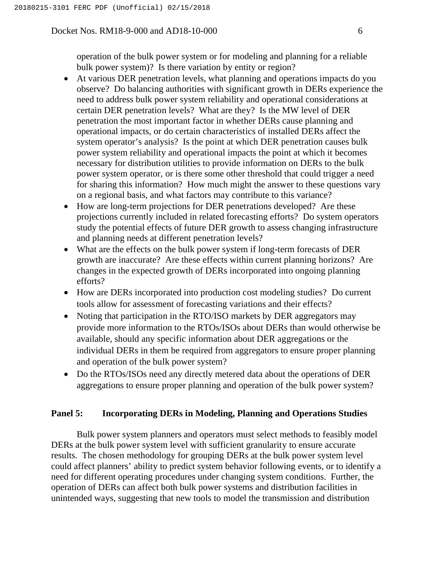operation of the bulk power system or for modeling and planning for a reliable bulk power system)? Is there variation by entity or region?

- At various DER penetration levels, what planning and operations impacts do you observe? Do balancing authorities with significant growth in DERs experience the need to address bulk power system reliability and operational considerations at certain DER penetration levels? What are they? Is the MW level of DER penetration the most important factor in whether DERs cause planning and operational impacts, or do certain characteristics of installed DERs affect the system operator's analysis? Is the point at which DER penetration causes bulk power system reliability and operational impacts the point at which it becomes necessary for distribution utilities to provide information on DERs to the bulk power system operator, or is there some other threshold that could trigger a need for sharing this information? How much might the answer to these questions vary on a regional basis, and what factors may contribute to this variance?
- How are long-term projections for DER penetrations developed? Are these projections currently included in related forecasting efforts? Do system operators study the potential effects of future DER growth to assess changing infrastructure and planning needs at different penetration levels?
- What are the effects on the bulk power system if long-term forecasts of DER growth are inaccurate? Are these effects within current planning horizons? Are changes in the expected growth of DERs incorporated into ongoing planning efforts?
- How are DERs incorporated into production cost modeling studies? Do current tools allow for assessment of forecasting variations and their effects?
- Noting that participation in the RTO/ISO markets by DER aggregators may provide more information to the RTOs/ISOs about DERs than would otherwise be available, should any specific information about DER aggregations or the individual DERs in them be required from aggregators to ensure proper planning and operation of the bulk power system?
- Do the RTOs/ISOs need any directly metered data about the operations of DER aggregations to ensure proper planning and operation of the bulk power system?

## **Panel 5: Incorporating DERs in Modeling, Planning and Operations Studies**

Bulk power system planners and operators must select methods to feasibly model DERs at the bulk power system level with sufficient granularity to ensure accurate results. The chosen methodology for grouping DERs at the bulk power system level could affect planners' ability to predict system behavior following events, or to identify a need for different operating procedures under changing system conditions. Further, the operation of DERs can affect both bulk power systems and distribution facilities in unintended ways, suggesting that new tools to model the transmission and distribution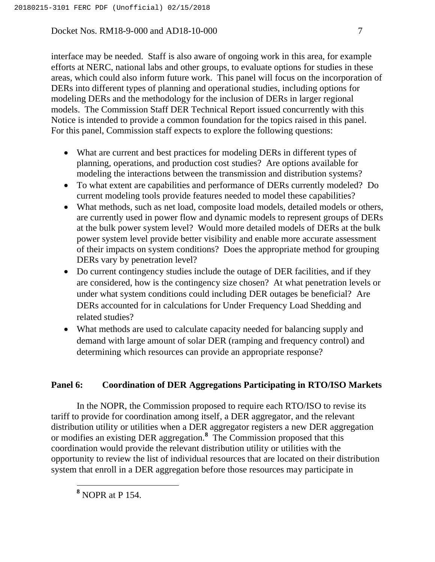interface may be needed. Staff is also aware of ongoing work in this area, for example efforts at NERC, national labs and other groups, to evaluate options for studies in these areas, which could also inform future work. This panel will focus on the incorporation of DERs into different types of planning and operational studies, including options for modeling DERs and the methodology for the inclusion of DERs in larger regional models. The Commission Staff DER Technical Report issued concurrently with this Notice is intended to provide a common foundation for the topics raised in this panel. For this panel, Commission staff expects to explore the following questions:

- What are current and best practices for modeling DERs in different types of planning, operations, and production cost studies? Are options available for modeling the interactions between the transmission and distribution systems?
- To what extent are capabilities and performance of DERs currently modeled? Do current modeling tools provide features needed to model these capabilities?
- What methods, such as net load, composite load models, detailed models or others, are currently used in power flow and dynamic models to represent groups of DERs at the bulk power system level? Would more detailed models of DERs at the bulk power system level provide better visibility and enable more accurate assessment of their impacts on system conditions? Does the appropriate method for grouping DERs vary by penetration level?
- Do current contingency studies include the outage of DER facilities, and if they are considered, how is the contingency size chosen? At what penetration levels or under what system conditions could including DER outages be beneficial? Are DERs accounted for in calculations for Under Frequency Load Shedding and related studies?
- What methods are used to calculate capacity needed for balancing supply and demand with large amount of solar DER (ramping and frequency control) and determining which resources can provide an appropriate response?

# **Panel 6: Coordination of DER Aggregations Participating in RTO/ISO Markets**

In the NOPR, the Commission proposed to require each RTO/ISO to revise its tariff to provide for coordination among itself, a DER aggregator, and the relevant distribution utility or utilities when a DER aggregator registers a new DER aggregation or modifies an existing DER aggregation.**<sup>8</sup>** The Commission proposed that this coordination would provide the relevant distribution utility or utilities with the opportunity to review the list of individual resources that are located on their distribution system that enroll in a DER aggregation before those resources may participate in

 $\overline{a}$ 

**<sup>8</sup>** NOPR at P 154.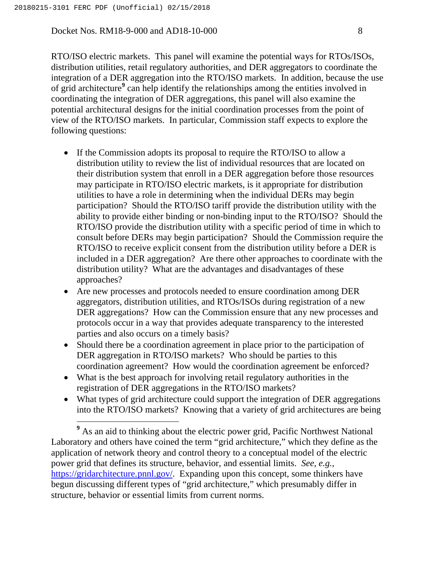Docket Nos. RM18-9-000 and AD18-10-000 8

RTO/ISO electric markets. This panel will examine the potential ways for RTOs/ISOs, distribution utilities, retail regulatory authorities, and DER aggregators to coordinate the integration of a DER aggregation into the RTO/ISO markets. In addition, because the use of grid architecture**<sup>9</sup>** can help identify the relationships among the entities involved in coordinating the integration of DER aggregations, this panel will also examine the potential architectural designs for the initial coordination processes from the point of view of the RTO/ISO markets. In particular, Commission staff expects to explore the following questions:

- If the Commission adopts its proposal to require the RTO/ISO to allow a distribution utility to review the list of individual resources that are located on their distribution system that enroll in a DER aggregation before those resources may participate in RTO/ISO electric markets, is it appropriate for distribution utilities to have a role in determining when the individual DERs may begin participation? Should the RTO/ISO tariff provide the distribution utility with the ability to provide either binding or non-binding input to the RTO/ISO? Should the RTO/ISO provide the distribution utility with a specific period of time in which to consult before DERs may begin participation? Should the Commission require the RTO/ISO to receive explicit consent from the distribution utility before a DER is included in a DER aggregation? Are there other approaches to coordinate with the distribution utility? What are the advantages and disadvantages of these approaches?
- Are new processes and protocols needed to ensure coordination among DER aggregators, distribution utilities, and RTOs/ISOs during registration of a new DER aggregations? How can the Commission ensure that any new processes and protocols occur in a way that provides adequate transparency to the interested parties and also occurs on a timely basis?
- Should there be a coordination agreement in place prior to the participation of DER aggregation in RTO/ISO markets? Who should be parties to this coordination agreement? How would the coordination agreement be enforced?
- What is the best approach for involving retail regulatory authorities in the registration of DER aggregations in the RTO/ISO markets?
- What types of grid architecture could support the integration of DER aggregations into the RTO/ISO markets? Knowing that a variety of grid architectures are being

**<sup>9</sup>** As an aid to thinking about the electric power grid, Pacific Northwest National Laboratory and others have coined the term "grid architecture," which they define as the application of network theory and control theory to a conceptual model of the electric power grid that defines its structure, behavior, and essential limits. *See, e.g.*, https://gridarchitecture.pnnl.gov/. Expanding upon this concept, some thinkers have begun discussing different types of "grid architecture," which presumably differ in structure, behavior or essential limits from current norms.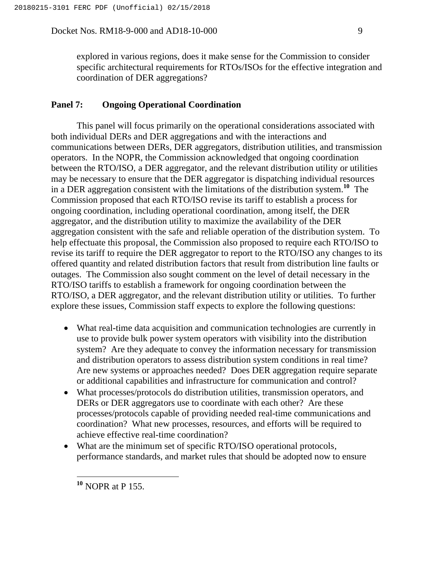explored in various regions, does it make sense for the Commission to consider specific architectural requirements for RTOs/ISOs for the effective integration and coordination of DER aggregations?

### **Panel 7: Ongoing Operational Coordination**

This panel will focus primarily on the operational considerations associated with both individual DERs and DER aggregations and with the interactions and communications between DERs, DER aggregators, distribution utilities, and transmission operators. In the NOPR, the Commission acknowledged that ongoing coordination between the RTO/ISO, a DER aggregator, and the relevant distribution utility or utilities may be necessary to ensure that the DER aggregator is dispatching individual resources in a DER aggregation consistent with the limitations of the distribution system.**<sup>10</sup>** The Commission proposed that each RTO/ISO revise its tariff to establish a process for ongoing coordination, including operational coordination, among itself, the DER aggregator, and the distribution utility to maximize the availability of the DER aggregation consistent with the safe and reliable operation of the distribution system. To help effectuate this proposal, the Commission also proposed to require each RTO/ISO to revise its tariff to require the DER aggregator to report to the RTO/ISO any changes to its offered quantity and related distribution factors that result from distribution line faults or outages. The Commission also sought comment on the level of detail necessary in the RTO/ISO tariffs to establish a framework for ongoing coordination between the RTO/ISO, a DER aggregator, and the relevant distribution utility or utilities. To further explore these issues, Commission staff expects to explore the following questions:

- What real-time data acquisition and communication technologies are currently in use to provide bulk power system operators with visibility into the distribution system? Are they adequate to convey the information necessary for transmission and distribution operators to assess distribution system conditions in real time? Are new systems or approaches needed? Does DER aggregation require separate or additional capabilities and infrastructure for communication and control?
- What processes/protocols do distribution utilities, transmission operators, and DERs or DER aggregators use to coordinate with each other? Are these processes/protocols capable of providing needed real-time communications and coordination? What new processes, resources, and efforts will be required to achieve effective real-time coordination?
- What are the minimum set of specific RTO/ISO operational protocols, performance standards, and market rules that should be adopted now to ensure

 $\overline{a}$ 

**<sup>10</sup>** NOPR at P 155.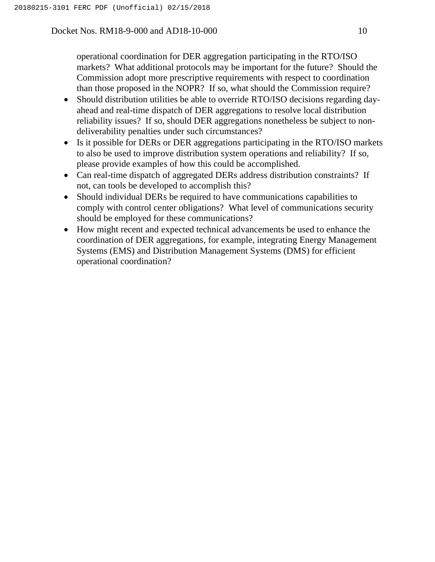operational coordination for DER aggregation participating in the RTO/ISO markets? What additional protocols may be important for the future? Should the Commission adopt more prescriptive requirements with respect to coordination than those proposed in the NOPR? If so, what should the Commission require?

- Should distribution utilities be able to override RTO/ISO decisions regarding dayahead and real-time dispatch of DER aggregations to resolve local distribution reliability issues? If so, should DER aggregations nonetheless be subject to nondeliverability penalties under such circumstances?
- Is it possible for DERs or DER aggregations participating in the RTO/ISO markets to also be used to improve distribution system operations and reliability? If so, please provide examples of how this could be accomplished.
- Can real-time dispatch of aggregated DERs address distribution constraints? If not, can tools be developed to accomplish this?
- Should individual DERs be required to have communications capabilities to comply with control center obligations? What level of communications security should be employed for these communications?
- How might recent and expected technical advancements be used to enhance the coordination of DER aggregations, for example, integrating Energy Management Systems (EMS) and Distribution Management Systems (DMS) for efficient operational coordination?